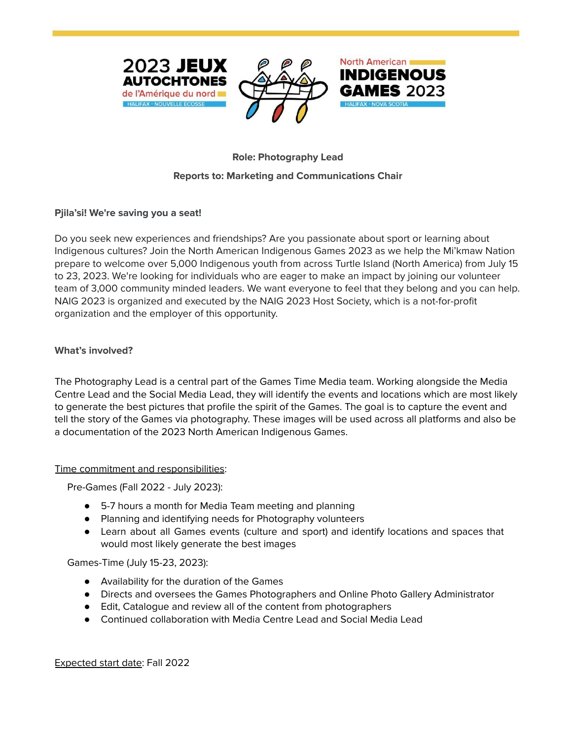



# North American **INDIGENOUS**

## **Role: Photography Lead**

## **Reports to: Marketing and Communications Chair**

## **Pjila'si! We're saving you a seat!**

Do you seek new experiences and friendships? Are you passionate about sport or learning about Indigenous cultures? Join the North American Indigenous Games 2023 as we help the Mi'kmaw Nation prepare to welcome over 5,000 Indigenous youth from across Turtle Island (North America) from July 15 to 23, 2023. We're looking for individuals who are eager to make an impact by joining our volunteer team of 3,000 community minded leaders. We want everyone to feel that they belong and you can help. NAIG 2023 is organized and executed by the NAIG 2023 Host Society, which is a not-for-profit organization and the employer of this opportunity.

## **What's involved?**

The Photography Lead is a central part of the Games Time Media team. Working alongside the Media Centre Lead and the Social Media Lead, they will identify the events and locations which are most likely to generate the best pictures that profile the spirit of the Games. The goal is to capture the event and tell the story of the Games via photography. These images will be used across all platforms and also be a documentation of the 2023 North American Indigenous Games.

#### Time commitment and responsibilities:

Pre-Games (Fall 2022 - July 2023):

- 5-7 hours a month for Media Team meeting and planning
- Planning and identifying needs for Photography volunteers
- Learn about all Games events (culture and sport) and identify locations and spaces that would most likely generate the best images

Games-Time (July 15-23, 2023):

- Availability for the duration of the Games
- Directs and oversees the Games Photographers and Online Photo Gallery Administrator
- Edit, Catalogue and review all of the content from photographers
- Continued collaboration with Media Centre Lead and Social Media Lead

Expected start date: Fall 2022